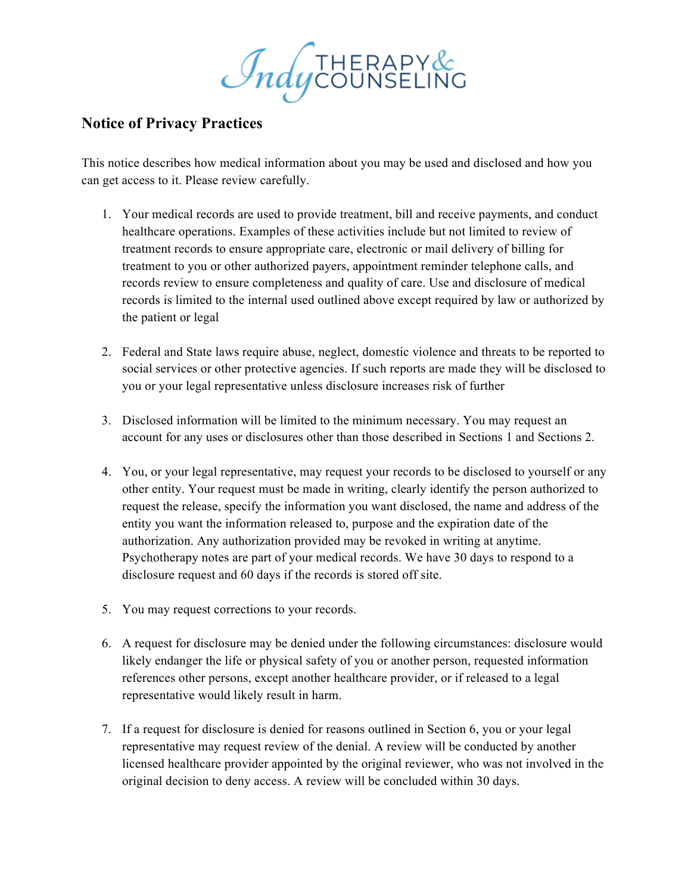Indycounseling

## **Notice of Privacy Practices**

This notice describes how medical information about you may be used and disclosed and how you can get access to it. Please review carefully.

- 1. Your medical records are used to provide treatment, bill and receive payments, and conduct healthcare operations. Examples of these activities include but not limited to review of treatment records to ensure appropriate care, electronic or mail delivery of billing for treatment to you or other authorized payers, appointment reminder telephone calls, and records review to ensure completeness and quality of care. Use and disclosure of medical records is limited to the internal used outlined above except required by law or authorized by the patient or legal
- 2. Federal and State laws require abuse, neglect, domestic violence and threats to be reported to social services or other protective agencies. If such reports are made they will be disclosed to you or your legal representative unless disclosure increases risk of further
- 3. Disclosed information will be limited to the minimum necessary. You may request an account for any uses or disclosures other than those described in Sections 1 and Sections 2.
- 4. You, or your legal representative, may request your records to be disclosed to yourself or any other entity. Your request must be made in writing, clearly identify the person authorized to request the release, specify the information you want disclosed, the name and address of the entity you want the information released to, purpose and the expiration date of the authorization. Any authorization provided may be revoked in writing at anytime. Psychotherapy notes are part of your medical records. We have 30 days to respond to a disclosure request and 60 days if the records is stored off site.
- 5. You may request corrections to your records.
- 6. A request for disclosure may be denied under the following circumstances: disclosure would likely endanger the life or physical safety of you or another person, requested information references other persons, except another healthcare provider, or if released to a legal representative would likely result in harm.
- 7. If a request for disclosure is denied for reasons outlined in Section 6, you or your legal representative may request review of the denial. A review will be conducted by another licensed healthcare provider appointed by the original reviewer, who was not involved in the original decision to deny access. A review will be concluded within 30 days.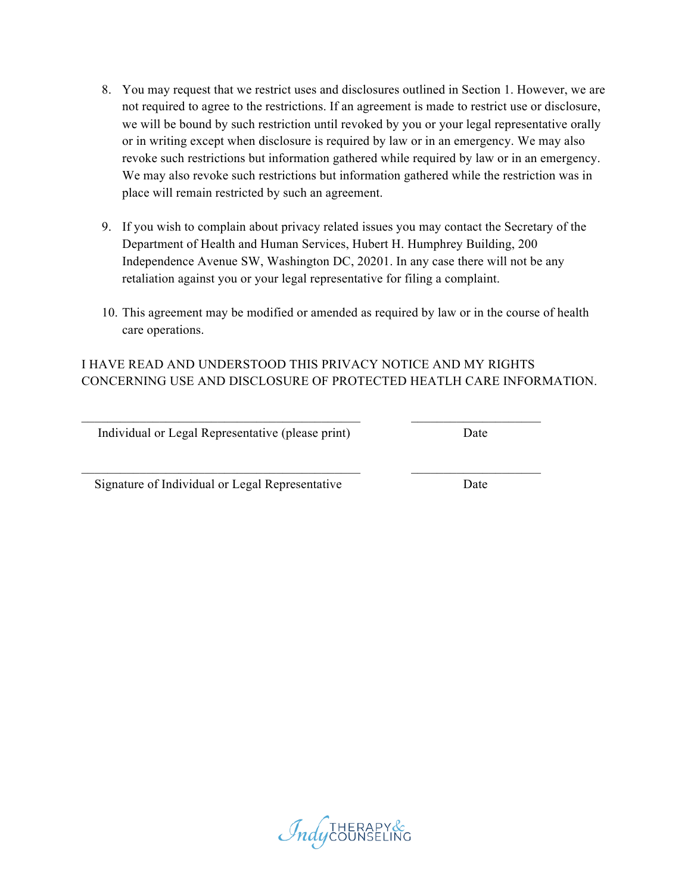- 8. You may request that we restrict uses and disclosures outlined in Section 1. However, we are not required to agree to the restrictions. If an agreement is made to restrict use or disclosure, we will be bound by such restriction until revoked by you or your legal representative orally or in writing except when disclosure is required by law or in an emergency. We may also revoke such restrictions but information gathered while required by law or in an emergency. We may also revoke such restrictions but information gathered while the restriction was in place will remain restricted by such an agreement.
- 9. If you wish to complain about privacy related issues you may contact the Secretary of the Department of Health and Human Services, Hubert H. Humphrey Building, 200 Independence Avenue SW, Washington DC, 20201. In any case there will not be any retaliation against you or your legal representative for filing a complaint.
- 10. This agreement may be modified or amended as required by law or in the course of health care operations.

## I HAVE READ AND UNDERSTOOD THIS PRIVACY NOTICE AND MY RIGHTS CONCERNING USE AND DISCLOSURE OF PROTECTED HEATLH CARE INFORMATION.

 $\mathcal{L}_\text{max} = \frac{1}{2} \sum_{i=1}^n \mathcal{L}_\text{max}(\mathbf{z}_i - \mathbf{z}_i)$ 

 $\mathcal{L}_\text{max} = \frac{1}{2} \sum_{i=1}^n \mathcal{L}_\text{max}(\mathbf{z}_i - \mathbf{z}_i)$ 

Individual or Legal Representative (please print) Date

Signature of Individual or Legal Representative Date

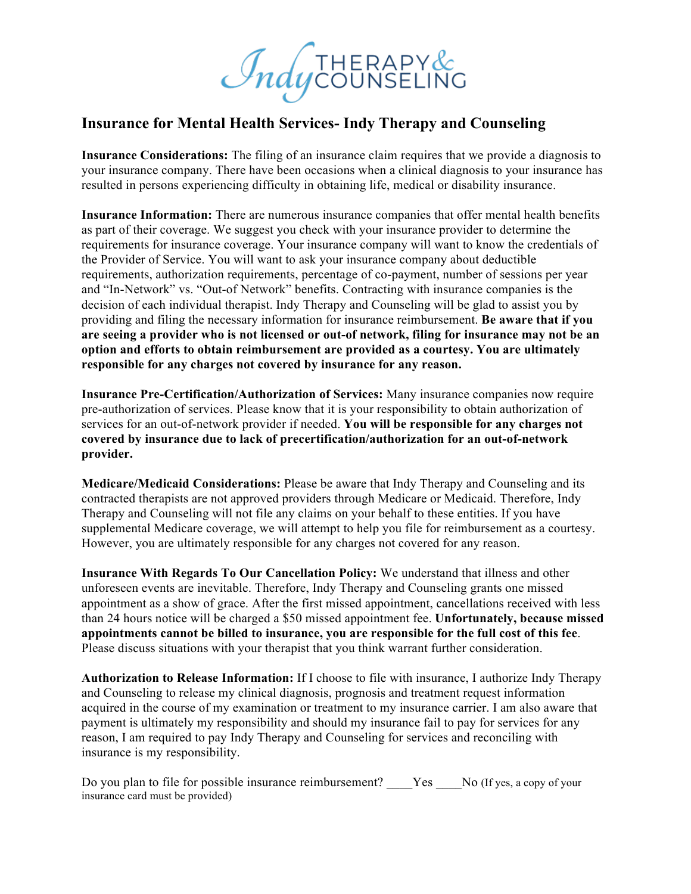*Indy* COUNSELING

## **Insurance for Mental Health Services- Indy Therapy and Counseling**

**Insurance Considerations:** The filing of an insurance claim requires that we provide a diagnosis to your insurance company. There have been occasions when a clinical diagnosis to your insurance has resulted in persons experiencing difficulty in obtaining life, medical or disability insurance.

**Insurance Information:** There are numerous insurance companies that offer mental health benefits as part of their coverage. We suggest you check with your insurance provider to determine the requirements for insurance coverage. Your insurance company will want to know the credentials of the Provider of Service. You will want to ask your insurance company about deductible requirements, authorization requirements, percentage of co-payment, number of sessions per year and "In-Network" vs. "Out-of Network" benefits. Contracting with insurance companies is the decision of each individual therapist. Indy Therapy and Counseling will be glad to assist you by providing and filing the necessary information for insurance reimbursement. **Be aware that if you are seeing a provider who is not licensed or out-of network, filing for insurance may not be an option and efforts to obtain reimbursement are provided as a courtesy. You are ultimately responsible for any charges not covered by insurance for any reason.** 

**Insurance Pre-Certification/Authorization of Services:** Many insurance companies now require pre-authorization of services. Please know that it is your responsibility to obtain authorization of services for an out-of-network provider if needed. **You will be responsible for any charges not covered by insurance due to lack of precertification/authorization for an out-of-network provider.** 

**Medicare/Medicaid Considerations:** Please be aware that Indy Therapy and Counseling and its contracted therapists are not approved providers through Medicare or Medicaid. Therefore, Indy Therapy and Counseling will not file any claims on your behalf to these entities. If you have supplemental Medicare coverage, we will attempt to help you file for reimbursement as a courtesy. However, you are ultimately responsible for any charges not covered for any reason.

**Insurance With Regards To Our Cancellation Policy:** We understand that illness and other unforeseen events are inevitable. Therefore, Indy Therapy and Counseling grants one missed appointment as a show of grace. After the first missed appointment, cancellations received with less than 24 hours notice will be charged a \$50 missed appointment fee. **Unfortunately, because missed appointments cannot be billed to insurance, you are responsible for the full cost of this fee**. Please discuss situations with your therapist that you think warrant further consideration.

**Authorization to Release Information:** If I choose to file with insurance, I authorize Indy Therapy and Counseling to release my clinical diagnosis, prognosis and treatment request information acquired in the course of my examination or treatment to my insurance carrier. I am also aware that payment is ultimately my responsibility and should my insurance fail to pay for services for any reason, I am required to pay Indy Therapy and Counseling for services and reconciling with insurance is my responsibility.

Do you plan to file for possible insurance reimbursement? Yes No (If yes, a copy of your insurance card must be provided)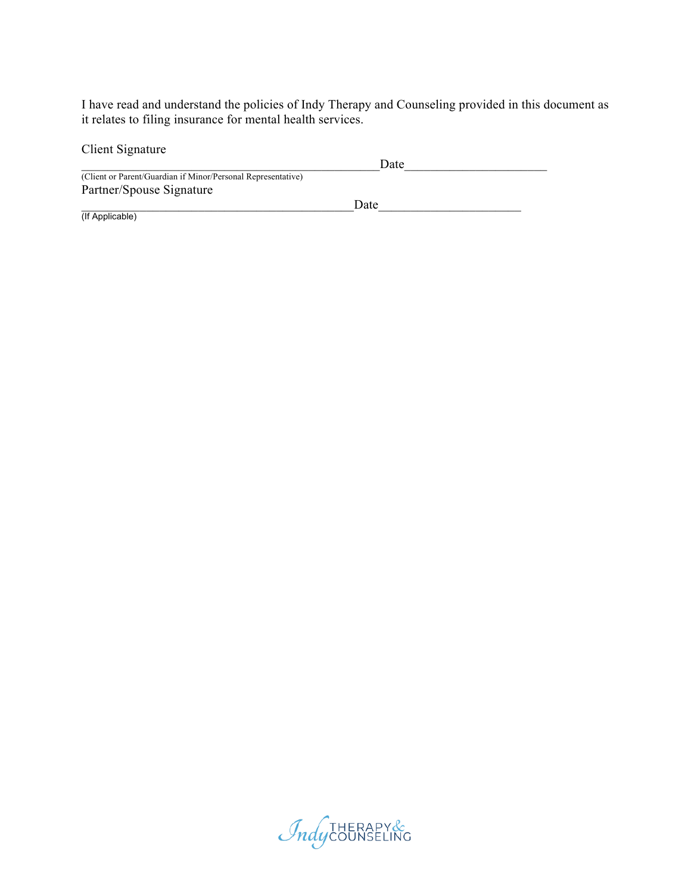I have read and understand the policies of Indy Therapy and Counseling provided in this document as it relates to filing insurance for mental health services.

| Client Signature                                             |      |  |
|--------------------------------------------------------------|------|--|
|                                                              | Date |  |
| (Client or Parent/Guardian if Minor/Personal Representative) |      |  |
| Partner/Spouse Signature                                     |      |  |
|                                                              | Date |  |
| (If Applicable)                                              |      |  |

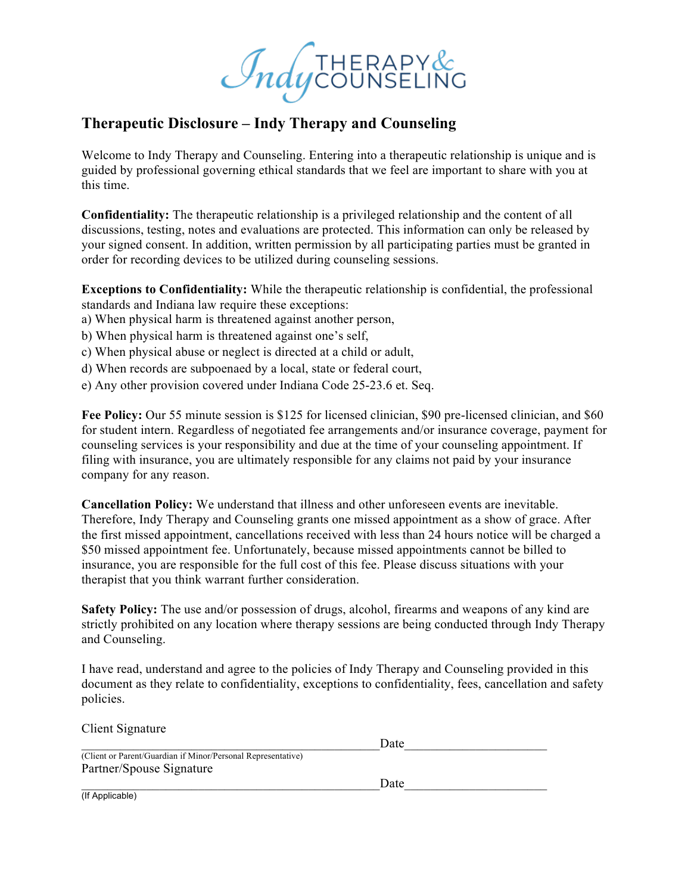*Indy* COUNSELING

## **Therapeutic Disclosure – Indy Therapy and Counseling**

Welcome to Indy Therapy and Counseling. Entering into a therapeutic relationship is unique and is guided by professional governing ethical standards that we feel are important to share with you at this time.

**Confidentiality:** The therapeutic relationship is a privileged relationship and the content of all discussions, testing, notes and evaluations are protected. This information can only be released by your signed consent. In addition, written permission by all participating parties must be granted in order for recording devices to be utilized during counseling sessions.

**Exceptions to Confidentiality:** While the therapeutic relationship is confidential, the professional standards and Indiana law require these exceptions:

- a) When physical harm is threatened against another person,
- b) When physical harm is threatened against one's self,
- c) When physical abuse or neglect is directed at a child or adult,
- d) When records are subpoenaed by a local, state or federal court,
- e) Any other provision covered under Indiana Code 25-23.6 et. Seq.

**Fee Policy:** Our 55 minute session is \$125 for licensed clinician, \$90 pre-licensed clinician, and \$60 for student intern. Regardless of negotiated fee arrangements and/or insurance coverage, payment for counseling services is your responsibility and due at the time of your counseling appointment. If filing with insurance, you are ultimately responsible for any claims not paid by your insurance company for any reason.

**Cancellation Policy:** We understand that illness and other unforeseen events are inevitable. Therefore, Indy Therapy and Counseling grants one missed appointment as a show of grace. After the first missed appointment, cancellations received with less than 24 hours notice will be charged a \$50 missed appointment fee. Unfortunately, because missed appointments cannot be billed to insurance, you are responsible for the full cost of this fee. Please discuss situations with your therapist that you think warrant further consideration.

**Safety Policy:** The use and/or possession of drugs, alcohol, firearms and weapons of any kind are strictly prohibited on any location where therapy sessions are being conducted through Indy Therapy and Counseling.

I have read, understand and agree to the policies of Indy Therapy and Counseling provided in this document as they relate to confidentiality, exceptions to confidentiality, fees, cancellation and safety policies.

| Client Signature                                             |      |  |
|--------------------------------------------------------------|------|--|
|                                                              | Date |  |
| (Client or Parent/Guardian if Minor/Personal Representative) |      |  |
| Partner/Spouse Signature                                     |      |  |
|                                                              | Date |  |
| (If Applicable)                                              |      |  |